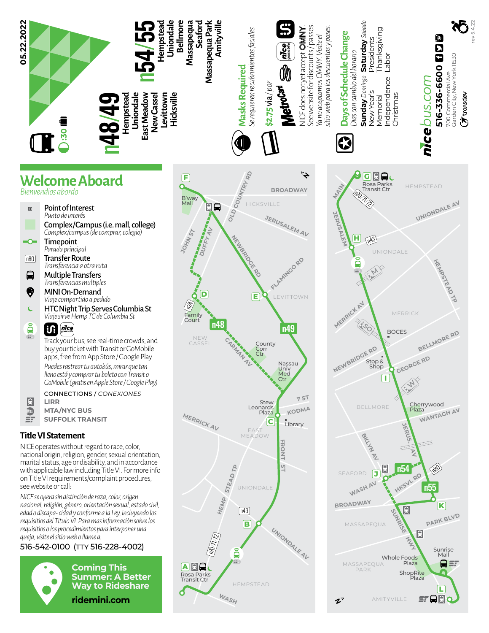

## **Welcome Aboard**

*Bienvendios abordo*

- Point of Interest  $\boxed{\blacksquare}$ *Punto de interés* Complex/Campus (i.e. mall, college) *Complex/campus (de comprar, colegio)*  $\overline{\bullet}$ **Timepoint** *Parada principal*  $[n80]$ Transfer Route *Transferencia a otra ruta*  $\blacksquare$ Multiple Transfers *Transferencias multiples* ❸ MINI On-Demand *Viaje compartido a pedido*
- $\epsilon$ HTC Night Trip Serves Columbia St *Viaje sirve Hemp TC de Columbia St*

## â  $|{\bf u}|$ *gomobile*  $66.$

Track your bus, see real-time crowds, and buy your ticket with Transit or GoMobile apps, free from App Store / Google Play *Puedes rastrear tu autobús, mirar que tan lleno está y comprar tu boleto con Transit o GoMobile (gratis en Apple Store / Google Play)*

CONNECTIONS / *CONEXIONES* **LIRR MTA/NYC BUS**

 $\overline{\mathbb{D}}$ **SUFFOLK TRANSIT**  $\mathbf{r}$ 

## **Title VI Statement**

R

NICE operates without regard to race, color, national origin, religion, gender, sexual orientation, marital status, age or disability, and in accordance with applicable law including Title VI. For more info on Title VI requirements/complaint procedures, see website or call:

*NICE se opera sin distinción de raza, color, origen nacional, religión, género, orientación sexual, estado civil, edad o discapa- cidad y conforme a la Ley, incluyendo los requisitios del Titulo VI. Para mas información sobre los requisitios o los procedimientos para interponer una queja, visite el sitio web o llame a:*

## 516-542-0100 (TTY 516-228-4002)



**Coming This Summer: A Better Way to Rideshare ridemini.com**